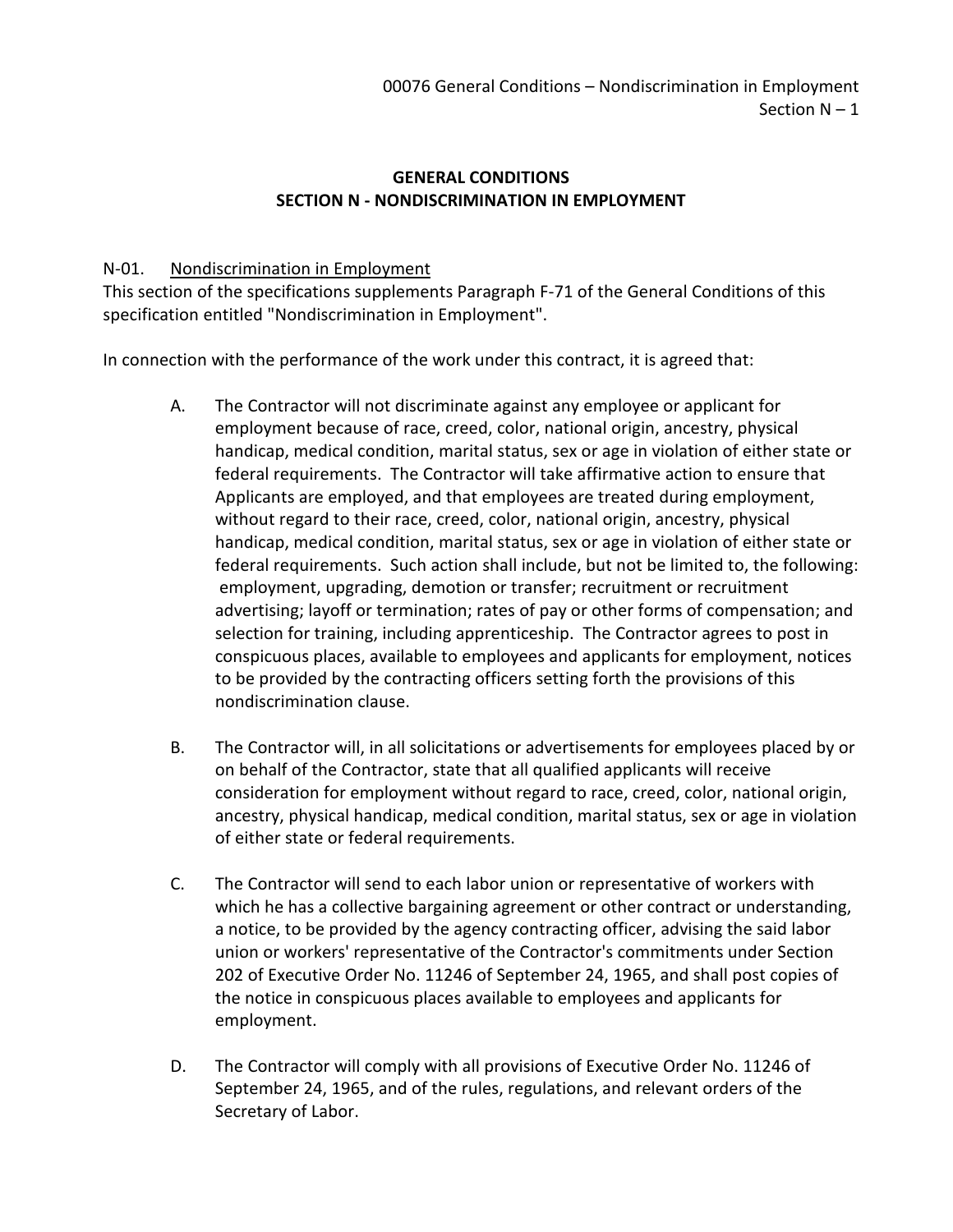## **GENERAL CONDITIONS SECTION N - NONDISCRIMINATION IN EMPLOYMENT**

## N-01. Nondiscrimination in Employment

This section of the specifications supplements Paragraph F-71 of the General Conditions of this specification entitled "Nondiscrimination in Employment".

In connection with the performance of the work under this contract, it is agreed that:

- A. The Contractor will not discriminate against any employee or applicant for employment because of race, creed, color, national origin, ancestry, physical handicap, medical condition, marital status, sex or age in violation of either state or federal requirements. The Contractor will take affirmative action to ensure that Applicants are employed, and that employees are treated during employment, without regard to their race, creed, color, national origin, ancestry, physical handicap, medical condition, marital status, sex or age in violation of either state or federal requirements. Such action shall include, but not be limited to, the following: employment, upgrading, demotion or transfer; recruitment or recruitment advertising; layoff or termination; rates of pay or other forms of compensation; and selection for training, including apprenticeship. The Contractor agrees to post in conspicuous places, available to employees and applicants for employment, notices to be provided by the contracting officers setting forth the provisions of this nondiscrimination clause.
- B. The Contractor will, in all solicitations or advertisements for employees placed by or on behalf of the Contractor, state that all qualified applicants will receive consideration for employment without regard to race, creed, color, national origin, ancestry, physical handicap, medical condition, marital status, sex or age in violation of either state or federal requirements.
- C. The Contractor will send to each labor union or representative of workers with which he has a collective bargaining agreement or other contract or understanding, a notice, to be provided by the agency contracting officer, advising the said labor union or workers' representative of the Contractor's commitments under Section 202 of Executive Order No. 11246 of September 24, 1965, and shall post copies of the notice in conspicuous places available to employees and applicants for employment.
- D. The Contractor will comply with all provisions of Executive Order No. 11246 of September 24, 1965, and of the rules, regulations, and relevant orders of the Secretary of Labor.